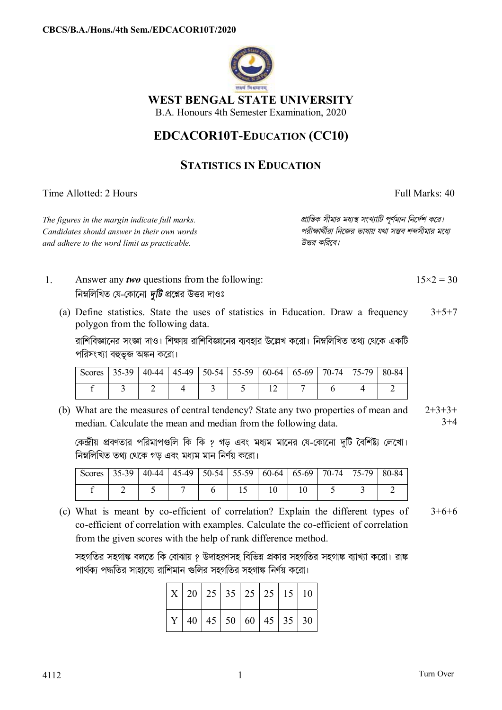

**WEST BENGAL STATE UNIVERSITY** 

B.A. Honours 4th Semester Examination, 2020

## **EDCACOR10T-EDUCATION (CC10)**

## **STATISTICS IN EDUCATION**

Time Allotted: 2 Hours Full Marks: 40

*Candidates should answer in their own words পরীkাথীরা িনেজর ভাষায় যথা সmব শbসীমার মেধ° and adhere to the word limit as practicable. উtর কিরেব।*

*The figures in the margin indicate full marks. pািnক সীমার মধ°s সংখ°ািট পূণমান িনেদশ কের।*

- 1. Answer any *two* questions from the following: নিম্নলিখিত যে-কোনো *দটি* প্রশ্নের উত্তর দাওঃ  $15\times2 = 30$ 
	- (a) Define statistics. State the uses of statistics in Education. Draw a frequency polygon from the following data.  $3+5+7$

রাশিবিজ্ঞানের সংজ্ঞা দাও। শিক্ষায় রাশিবিজ্ঞানের ব্যবহার উল্লেখ করো। নিম্নলিখিত তথ্য থেকে একটি পরিসংখ্যা বহুভূজ অঙ্কন করো।

| Scores   35-39   40-44   45-49   50-54   55-59   60-64   65-69   70-74   75-79   80-84 |  |  |  |  |  |
|----------------------------------------------------------------------------------------|--|--|--|--|--|
|                                                                                        |  |  |  |  |  |

(b) What are the measures of central tendency? State any two properties of mean and median. Calculate the mean and median from the following data.  $2+3+3+$  $3+4$ 

কেন্দ্রীয় প্রবণতার পরিমাপগুলি কি কি ? গড় এবং মধ্যম মানের যে-কোনো দটি বৈশিষ্ট্য লেখো। নিম্নলিখিত তথ্য থেকে গড এবং মধ্যম মান নিৰ্ণয় করো।

| $\vert$ Scores   35-39   40-44   45-49   50-54   55-59   60-64   65-69   70-74   75-79   80-84 |  |  |    |  |  |
|------------------------------------------------------------------------------------------------|--|--|----|--|--|
|                                                                                                |  |  | 10 |  |  |

(c) What is meant by co-efficient of correlation? Explain the different types of co-efficient of correlation with examples. Calculate the co-efficient of correlation from the given scores with the help of rank difference method.  $3+6+6$ 

সহগতির সহগাঙ্ক বলতে কি বোঝায় ? উদাহরণসহ বিভিন্ন প্রকার সহগতির সহগাঙ্ক ব্যাখ্যা করো। রাঙ্ক পার্থকা পদ্ধতির সাহায়ো রাশিমান গুলির সহগতির সহগাঙ্ক নির্ণয় করো।

|  |  |  | $\mid$ X $\mid$ 20 $\mid$ 25 $\mid$ 35 $\mid$ 25 $\mid$ 25 $\mid$ 15 $\mid$ 10 $\mid$          |
|--|--|--|------------------------------------------------------------------------------------------------|
|  |  |  | $\vert$ Y $\vert$ 40 $\vert$ 45 $\vert$ 50 $\vert$ 60 $\vert$ 45 $\vert$ 35 $\vert$ 30 $\vert$ |